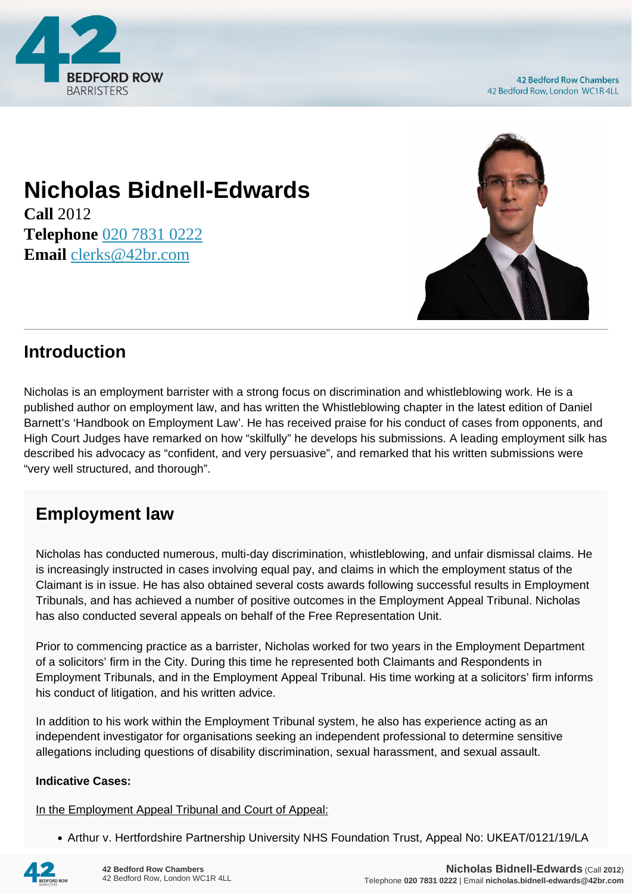

# **Nicholas Bidnell-Edwards**

**Call** 2012 **Telephone** [020 7831 0222](https://pdf.codeshore.co/_42br/tel:020 7831 0222) **Email** [clerks@42br.com](mailto:clerks@42br.com)



### **Introduction**

Nicholas is an employment barrister with a strong focus on discrimination and whistleblowing work. He is a published author on employment law, and has written the Whistleblowing chapter in the latest edition of Daniel Barnett's 'Handbook on Employment Law'. He has received praise for his conduct of cases from opponents, and High Court Judges have remarked on how "skilfully" he develops his submissions. A leading employment silk has described his advocacy as "confident, and very persuasive", and remarked that his written submissions were "very well structured, and thorough".

## **Employment law**

Nicholas has conducted numerous, multi-day discrimination, whistleblowing, and unfair dismissal claims. He is increasingly instructed in cases involving equal pay, and claims in which the employment status of the Claimant is in issue. He has also obtained several costs awards following successful results in Employment Tribunals, and has achieved a number of positive outcomes in the Employment Appeal Tribunal. Nicholas has also conducted several appeals on behalf of the Free Representation Unit.

Prior to commencing practice as a barrister, Nicholas worked for two years in the Employment Department of a solicitors' firm in the City. During this time he represented both Claimants and Respondents in Employment Tribunals, and in the Employment Appeal Tribunal. His time working at a solicitors' firm informs his conduct of litigation, and his written advice.

In addition to his work within the Employment Tribunal system, he also has experience acting as an independent investigator for organisations seeking an independent professional to determine sensitive allegations including questions of disability discrimination, sexual harassment, and sexual assault.

#### **Indicative Cases:**

In the Employment Appeal Tribunal and Court of Appeal:

• Arthur v. Hertfordshire Partnership University NHS Foundation Trust, Appeal No: UKEAT/0121/19/LA

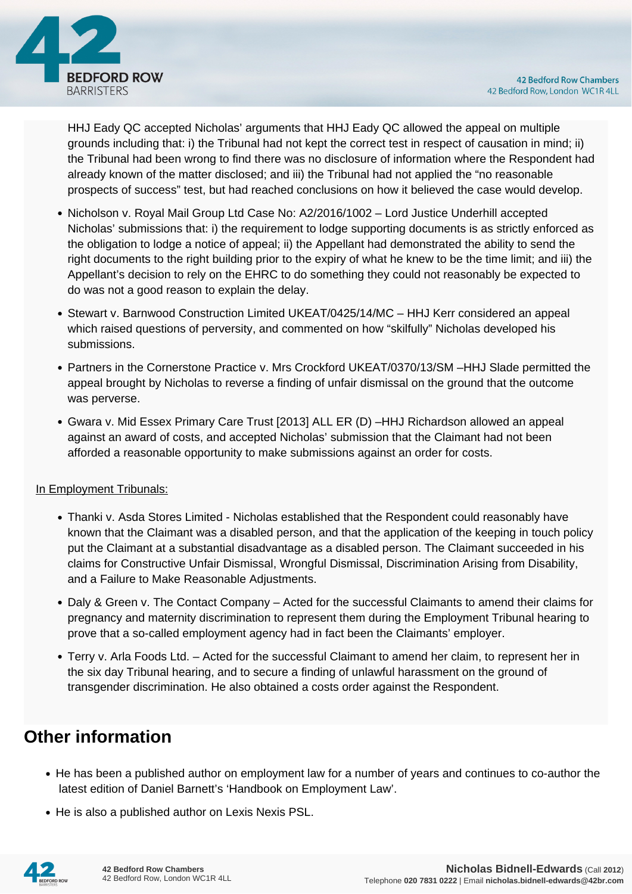



HHJ Eady QC accepted Nicholas' arguments that HHJ Eady QC allowed the appeal on multiple grounds including that: i) the Tribunal had not kept the correct test in respect of causation in mind; ii) the Tribunal had been wrong to find there was no disclosure of information where the Respondent had already known of the matter disclosed; and iii) the Tribunal had not applied the "no reasonable prospects of success" test, but had reached conclusions on how it believed the case would develop.

- Nicholson v. Royal Mail Group Ltd Case No: A2/2016/1002 Lord Justice Underhill accepted Nicholas' submissions that: i) the requirement to lodge supporting documents is as strictly enforced as the obligation to lodge a notice of appeal; ii) the Appellant had demonstrated the ability to send the right documents to the right building prior to the expiry of what he knew to be the time limit; and iii) the Appellant's decision to rely on the EHRC to do something they could not reasonably be expected to do was not a good reason to explain the delay.
- Stewart v. Barnwood Construction Limited UKEAT/0425/14/MC HHJ Kerr considered an appeal which raised questions of perversity, and commented on how "skilfully" Nicholas developed his submissions.
- Partners in the Cornerstone Practice v. Mrs Crockford UKEAT/0370/13/SM –HHJ Slade permitted the appeal brought by Nicholas to reverse a finding of unfair dismissal on the ground that the outcome was perverse.
- Gwara v. Mid Essex Primary Care Trust [2013] ALL ER (D) –HHJ Richardson allowed an appeal against an award of costs, and accepted Nicholas' submission that the Claimant had not been afforded a reasonable opportunity to make submissions against an order for costs.

#### In Employment Tribunals:

- Thanki v. Asda Stores Limited Nicholas established that the Respondent could reasonably have known that the Claimant was a disabled person, and that the application of the keeping in touch policy put the Claimant at a substantial disadvantage as a disabled person. The Claimant succeeded in his claims for Constructive Unfair Dismissal, Wrongful Dismissal, Discrimination Arising from Disability, and a Failure to Make Reasonable Adjustments.
- Daly & Green v. The Contact Company Acted for the successful Claimants to amend their claims for pregnancy and maternity discrimination to represent them during the Employment Tribunal hearing to prove that a so-called employment agency had in fact been the Claimants' employer.
- Terry v. Arla Foods Ltd. Acted for the successful Claimant to amend her claim, to represent her in the six day Tribunal hearing, and to secure a finding of unlawful harassment on the ground of transgender discrimination. He also obtained a costs order against the Respondent.

### **Other information**

- He has been a published author on employment law for a number of years and continues to co-author the latest edition of Daniel Barnett's 'Handbook on Employment Law'.
- He is also a published author on Lexis Nexis PSL.